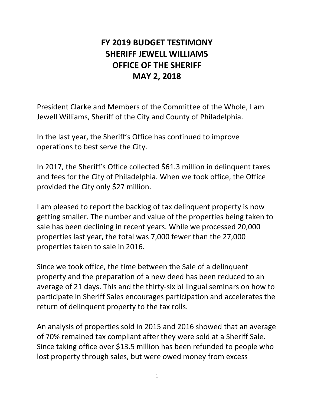## **FY 2019 BUDGET TESTIMONY SHERIFF JEWELL WILLIAMS OFFICE OF THE SHERIFF MAY 2, 2018**

President Clarke and Members of the Committee of the Whole, I am Jewell Williams, Sheriff of the City and County of Philadelphia.

In the last year, the Sheriff's Office has continued to improve operations to best serve the City.

In 2017, the Sheriff's Office collected \$61.3 million in delinquent taxes and fees for the City of Philadelphia. When we took office, the Office provided the City only \$27 million.

I am pleased to report the backlog of tax delinquent property is now getting smaller. The number and value of the properties being taken to sale has been declining in recent years. While we processed 20,000 properties last year, the total was 7,000 fewer than the 27,000 properties taken to sale in 2016.

Since we took office, the time between the Sale of a delinquent property and the preparation of a new deed has been reduced to an average of 21 days. This and the thirty-six bi lingual seminars on how to participate in Sheriff Sales encourages participation and accelerates the return of delinquent property to the tax rolls.

An analysis of properties sold in 2015 and 2016 showed that an average of 70% remained tax compliant after they were sold at a Sheriff Sale. Since taking office over \$13.5 million has been refunded to people who lost property through sales, but were owed money from excess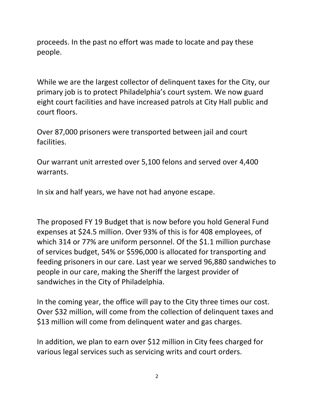proceeds. In the past no effort was made to locate and pay these people.

While we are the largest collector of delinquent taxes for the City, our primary job is to protect Philadelphia's court system. We now guard eight court facilities and have increased patrols at City Hall public and court floors.

Over 87,000 prisoners were transported between jail and court facilities.

Our warrant unit arrested over 5,100 felons and served over 4,400 warrants.

In six and half years, we have not had anyone escape.

The proposed FY 19 Budget that is now before you hold General Fund expenses at \$24.5 million. Over 93% of this is for 408 employees, of which 314 or 77% are uniform personnel. Of the \$1.1 million purchase of services budget, 54% or \$596,000 is allocated for transporting and feeding prisoners in our care. Last year we served 96,880 sandwiches to people in our care, making the Sheriff the largest provider of sandwiches in the City of Philadelphia.

In the coming year, the office will pay to the City three times our cost. Over \$32 million, will come from the collection of delinquent taxes and \$13 million will come from delinquent water and gas charges.

In addition, we plan to earn over \$12 million in City fees charged for various legal services such as servicing writs and court orders.